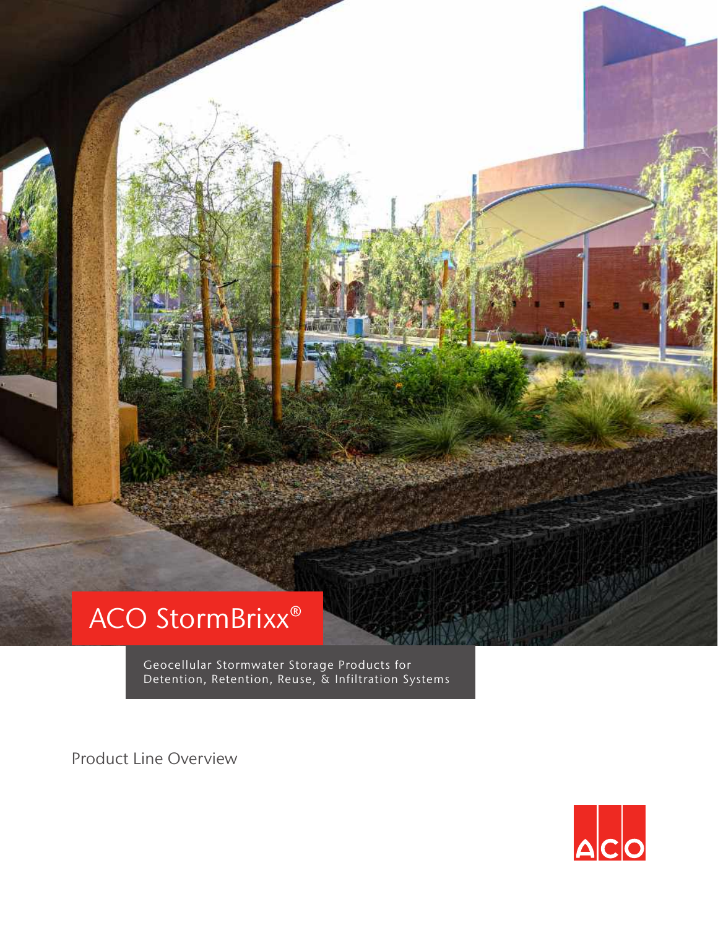## ACO StormBrixx®

Geocellular Stormwater Storage Products for Detention, Retention, Reuse, & Infiltration Systems

Product Line Overview

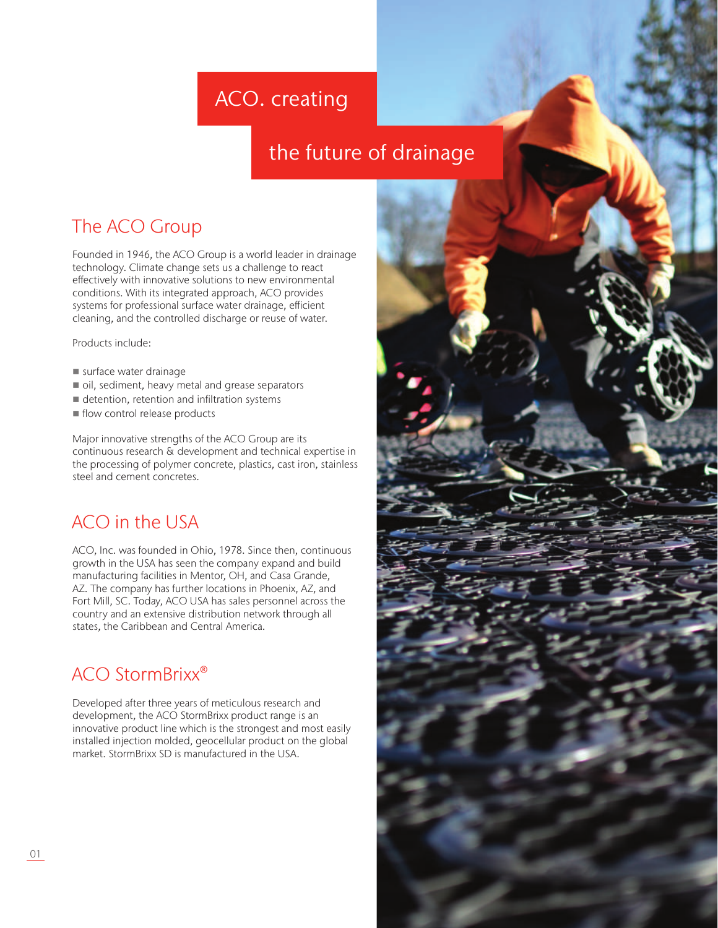## ACO. creating

## the future of drainage

## The ACO Group

Founded in 1946, the ACO Group is a world leader in drainage technology. Climate change sets us a challenge to react effectively with innovative solutions to new environmental conditions. With its integrated approach, ACO provides systems for professional surface water drainage, efficient cleaning, and the controlled discharge or reuse of water.

Products include:

- surface water drainage
- oil, sediment, heavy metal and grease separators
- detention, retention and infiltration systems
- $\blacksquare$  flow control release products

Major innovative strengths of the ACO Group are its continuous research & development and technical expertise in the processing of polymer concrete, plastics, cast iron, stainless steel and cement concretes.

## ACO in the USA

ACO, Inc. was founded in Ohio, 1978. Since then, continuous growth in the USA has seen the company expand and build manufacturing facilities in Mentor, OH, and Casa Grande, AZ. The company has further locations in Phoenix, AZ, and Fort Mill, SC. Today, ACO USA has sales personnel across the country and an extensive distribution network through all states, the Caribbean and Central America.

## ACO StormBrixx®

Developed after three years of meticulous research and development, the ACO StormBrixx product range is an innovative product line which is the strongest and most easily installed injection molded, geocellular product on the global market. StormBrixx SD is manufactured in the USA.

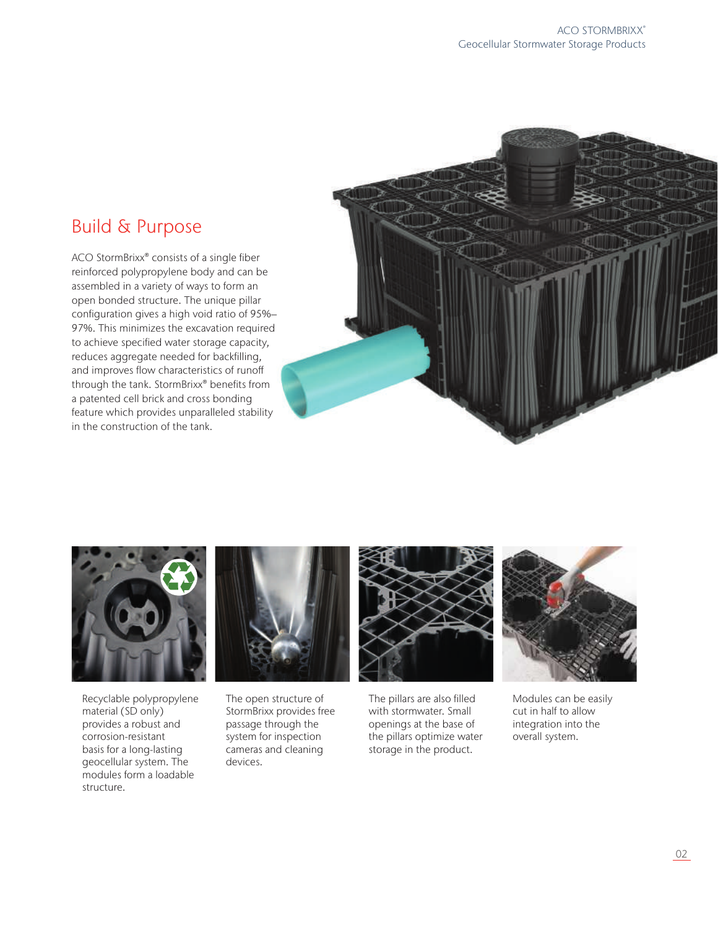## Build & Purpose

ACO StormBrixx® consists of a single fiber reinforced polypropylene body and can be assembled in a variety of ways to form an open bonded structure. The unique pillar configuration gives a high void ratio of 95%– 97%. This minimizes the excavation required to achieve specified water storage capacity, reduces aggregate needed for backfilling, and improves flow characteristics of runoff through the tank. StormBrixx® benefits from a patented cell brick and cross bonding feature which provides unparalleled stability in the construction of the tank.





Recyclable polypropylene material (SD only) provides a robust and corrosion-resistant basis for a long-lasting geocellular system. The modules form a loadable structure.



The open structure of StormBrixx provides free passage through the system for inspection cameras and cleaning devices.



The pillars are also filled with stormwater. Small openings at the base of the pillars optimize water storage in the product.



Modules can be easily cut in half to allow integration into the overall system.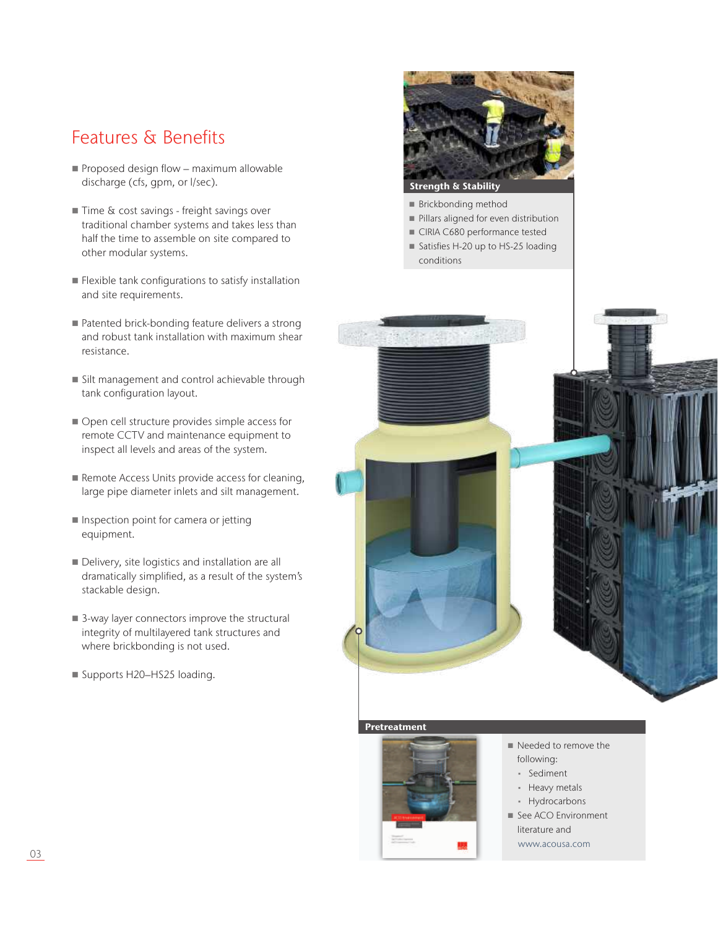## Features & Benefits

- Proposed design flow maximum allowable discharge (cfs, gpm, or l/sec).
- Time & cost savings freight savings over traditional chamber systems and takes less than half the time to assemble on site compared to other modular systems.
- **Flexible tank configurations to satisfy installation** and site requirements.
- Patented brick-bonding feature delivers a strong and robust tank installation with maximum shear resistance.
- Silt management and control achievable through tank configuration layout.
- Open cell structure provides simple access for remote CCTV and maintenance equipment to inspect all levels and areas of the system.
- Remote Access Units provide access for cleaning, large pipe diameter inlets and silt management.
- **Inspection point for camera or jetting** equipment.
- Delivery, site logistics and installation are all dramatically simplified, as a result of the system's stackable design.
- 3-way layer connectors improve the structural integrity of multilayered tank structures and where brickbonding is not used.
- Supports H20-HS25 loading.



- **Brickbonding method**
- Pillars aligned for even distribution
- CIRIA C680 performance tested
- Satisfies H-20 up to HS-25 loading conditions



#### Pretreatment



- Needed to remove the following:
	- Sediment
	- Heavy metals
	- Hydrocarbons
- See ACO Environment literature and www.acousa.com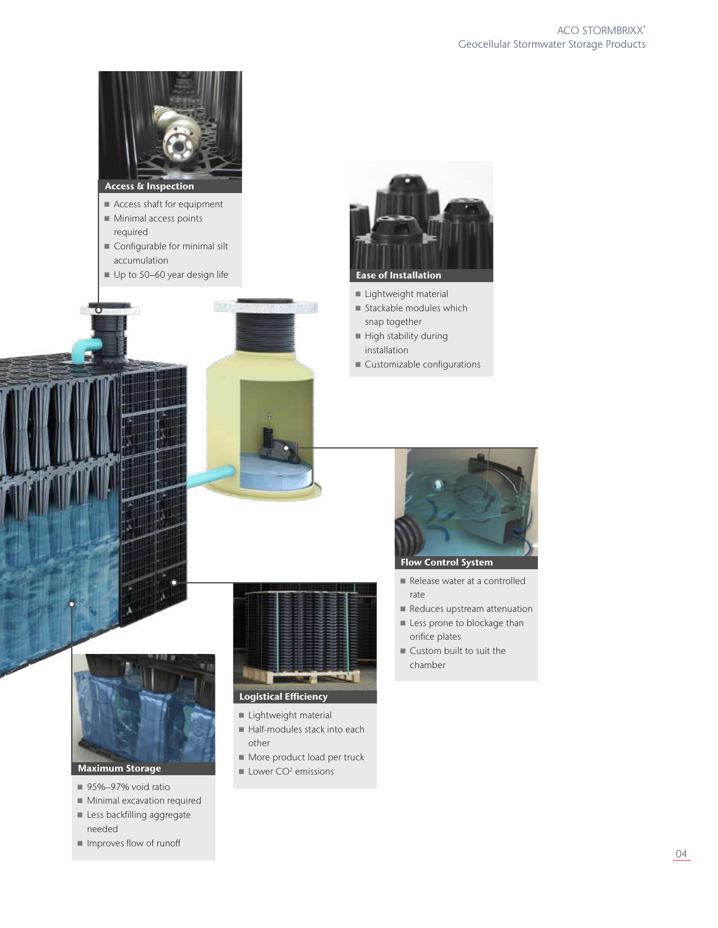

- Access shaft for equipment
- Minimal access points required
- Configurable for minimal silt accumulation
- Up to 50-60 year design life



- Lightweight material
- $\blacksquare$  Stackable modules which snap together
- $\blacksquare$  High stability during installation
- Customizable configurations



- 
- 95%–97% void ratio
- Minimal excavation required
- Less backfilling aggregate needed
- Improves flow of runoff



- **Lightweight material**
- Half-modules stack into each other
- More product load per truck
- $\blacksquare$  Lower CO<sup>2</sup> emissions



- Release water at a controlled rate
- Reduces upstream attenuation
- **Less prone to blockage than** orifice plates
- Custom built to suit the chamber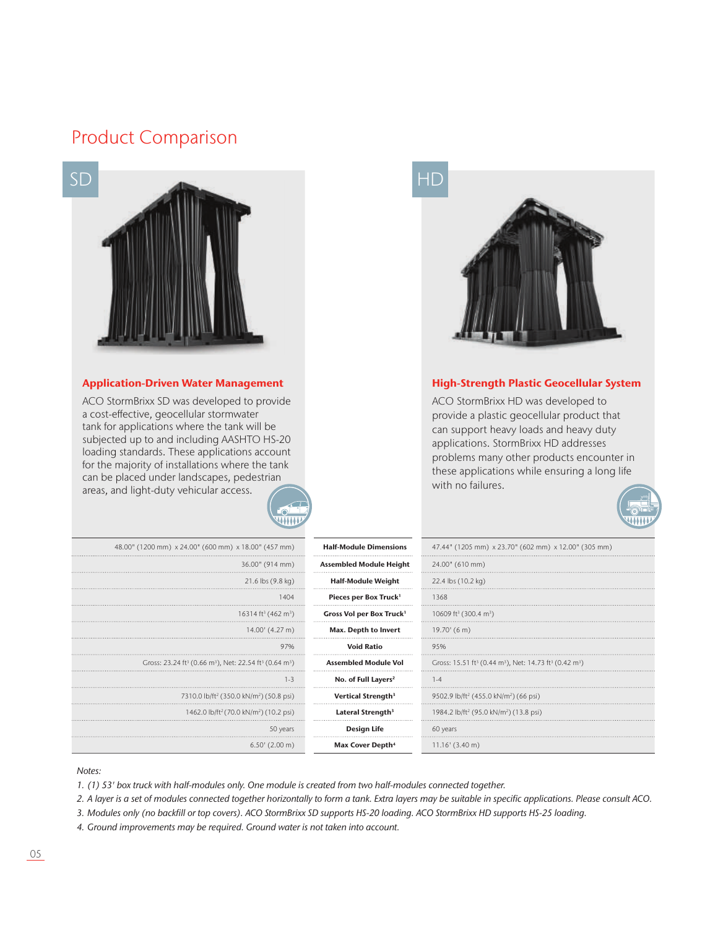## Product Comparison



ACO StormBrixx SD was developed to provide a cost-effective, geocellular stormwater tank for applications where the tank will be subjected up to and including AASHTO HS-20 loading standards. These applications account for the majority of installations where the tank can be placed under landscapes, pedestrian areas, and light-duty vehicular access.

444444



#### Application-Driven Water Management **High-Strength Plastic Geocellular System**

ACO StormBrixx HD was developed to provide a plastic geocellular product that can support heavy loads and heavy duty applications. StormBrixx HD addresses problems many other products encounter in these applications while ensuring a long life with no failures.



| 48.00" (1200 mm) x 24.00" (600 mm) x 18.00" (457 mm)                                                   | <b>Half-Module Dimensions</b>        | 47.44" (1205 mm) x 23.70" (602 mm) x 12.00" (305 mm)                                                   |
|--------------------------------------------------------------------------------------------------------|--------------------------------------|--------------------------------------------------------------------------------------------------------|
| 36.00" (914 mm)                                                                                        | <b>Assembled Module Height</b>       | 24.00" (610 mm)                                                                                        |
| $21.6$ lbs $(9.8 \text{ kg})$                                                                          | <b>Half-Module Weight</b>            | 22.4 lbs (10.2 kg)                                                                                     |
| 1404                                                                                                   | Pieces per Box Truck <sup>1</sup>    | 1368                                                                                                   |
| 16314 ft <sup>3</sup> (462 m <sup>3</sup> )                                                            | Gross Vol per Box Truck <sup>1</sup> | 10609 ft <sup>3</sup> (300.4 m <sup>3</sup> )                                                          |
| 14.00' (4.27 m)                                                                                        | Max. Depth to Invert                 | 19.70' (6 m)                                                                                           |
| 97%                                                                                                    | <b>Void Ratio</b>                    | 95%                                                                                                    |
| Gross: 23.24 ft <sup>3</sup> (0.66 m <sup>3</sup> ), Net: 22.54 ft <sup>3</sup> (0.64 m <sup>3</sup> ) | <b>Assembled Module Vol</b>          | Gross: 15.51 ft <sup>3</sup> (0.44 m <sup>3</sup> ), Net: 14.73 ft <sup>3</sup> (0.42 m <sup>3</sup> ) |
| $1 - 3$                                                                                                | No. of Full Layers <sup>2</sup>      | $1 - 4$                                                                                                |
| 7310.0 lb/ft <sup>2</sup> (350.0 kN/m <sup>2</sup> ) (50.8 psi)                                        | Vertical Strength <sup>3</sup>       | 9502.9 lb/ft <sup>2</sup> (455.0 kN/m <sup>2</sup> ) (66 psi)                                          |
| 1462.0 lb/ft <sup>2</sup> (70.0 kN/m <sup>2</sup> ) (10.2 psi)                                         | Lateral Strength <sup>3</sup>        | 1984.2 lb/ft <sup>2</sup> (95.0 kN/m <sup>2</sup> ) (13.8 psi)                                         |
| 50 years                                                                                               | <b>Design Life</b>                   | 60 years                                                                                               |
| $6.50'$ (2.00 m)                                                                                       | Max Cover Depth <sup>4</sup>         | $11.16'$ (3.40 m)                                                                                      |

#### *Notes:*

*1. (1) 53' box truck with half-modules only. One module is created from two half-modules connected together.*

*2.* A layer is a set of modules connected together horizontally to form a tank. Extra layers may be suitable in specific applications. Please consult ACO.

*3.* Modules only (no backfill or top covers). ACO StormBrixx SD supports HS-20 loading. ACO StormBrixx HD supports HS-25 loading.

*4.* Ground improvements may be required. Ground water is not taken into account.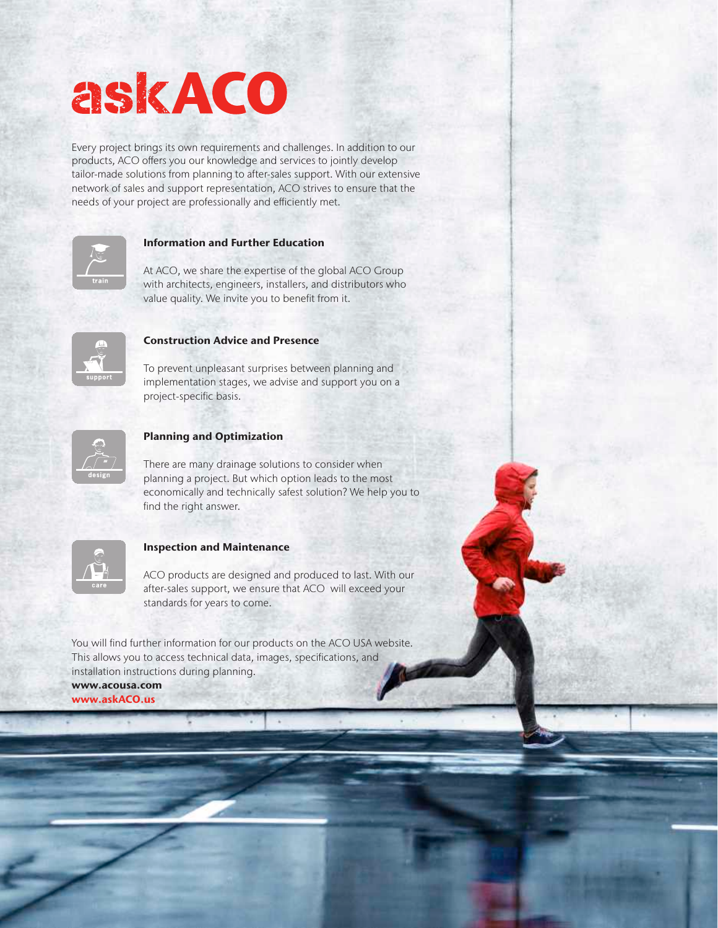# askACO

Every project brings its own requirements and challenges. In addition to our products, ACO offers you our knowledge and services to jointly develop tailor-made solutions from planning to after-sales support. With our extensive network of sales and support representation, ACO strives to ensure that the needs of your project are professionally and efficiently met.



#### Information and Further Education

At ACO, we share the expertise of the global ACO Group with architects, engineers, installers, and distributors who value quality. We invite you to benefit from it.

Geocellular Stormwater Storage Products



#### Construction Advice and Presence

To prevent unpleasant surprises between planning and implementation stages, we advise and support you on a project-specific basis.



#### Planning and Optimization

There are many drainage solutions to consider when planning a project. But which option leads to the most economically and technically safest solution? We help you to find the right answer.

| t    |
|------|
| care |

#### Inspection and Maintenance

ACO products are designed and produced to last. With our after-sales support, we ensure that ACO will exceed your standards for years to come.

You will find further information for our products on the ACO USA website. This allows you to access technical data, images, specifications, and installation instructions during planning.

www.acousa.com www.askACO.us